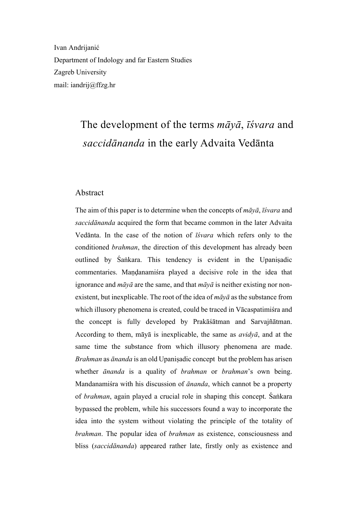Ivan Andrijanić Department of Indology and far Eastern Studies Zagreb University mail: iandrij@ffzg.hr

# The development of the terms *māyā*, *īśvara* and *saccidānanda* in the early Advaita Vedānta

#### Abstract

The aim of this paper is to determine when the concepts of *māyā*, *īśvara* and *saccidānanda* acquired the form that became common in the later Advaita Vedānta. In the case of the notion of *īśvara* which refers only to the conditioned *brahman*, the direction of this development has already been outlined by Śaṅkara. This tendency is evident in the Upaniṣadic commentaries. Mandanamiśra played a decisive role in the idea that ignorance and *māyā* are the same, and that *māyā* is neither existing nor nonexistent, but inexplicable. The root of the idea of *māyā* as the substance from which illusory phenomena is created, could be traced in Vācaspatimiśra and the concept is fully developed by Prakāśātman and Sarvajñātman. According to them, māyā is inexplicable, the same as *avidyā*, and at the same time the substance from which illusory phenomena are made. *Brahman* as *ānanda* is an old Upaniṣadic concept but the problem has arisen whether *ānanda* is a quality of *brahman* or *brahman*'s own being. Mandanamiśra with his discussion of *ānanda*, which cannot be a property of *brahman*, again played a crucial role in shaping this concept. Śaṅkara bypassed the problem, while his successors found a way to incorporate the idea into the system without violating the principle of the totality of *brahman*. The popular idea of *brahman* as existence, consciousness and bliss (*saccidānanda*) appeared rather late, firstly only as existence and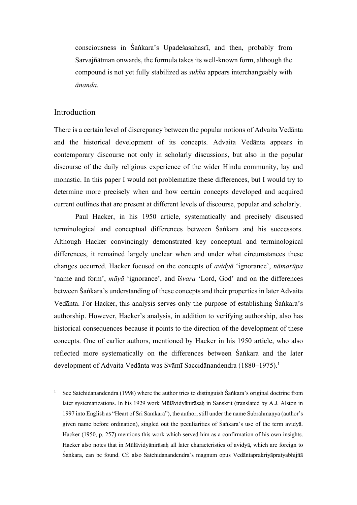consciousness in Śaṅkara's Upadeśasahasrī, and then, probably from Sarvajñātman onwards, the formula takes its well-known form, although the compound is not yet fully stabilized as *sukha* appears interchangeably with *ānanda*.

### Introduction

There is a certain level of discrepancy between the popular notions of Advaita Vedānta and the historical development of its concepts. Advaita Vedānta appears in contemporary discourse not only in scholarly discussions, but also in the popular discourse of the daily religious experience of the wider Hindu community, lay and monastic. In this paper I would not problematize these differences, but I would try to determine more precisely when and how certain concepts developed and acquired current outlines that are present at different levels of discourse, popular and scholarly.

Paul Hacker, in his 1950 article, systematically and precisely discussed terminological and conceptual differences between Śaṅkara and his successors. Although Hacker convincingly demonstrated key conceptual and terminological differences, it remained largely unclear when and under what circumstances these changes occurred. Hacker focused on the concepts of *avidyā* 'ignorance', *nāmarūpa* 'name and form', *māyā* 'ignorance', and *īśvara* 'Lord, God' and on the differences between Śaṅkara's understanding of these concepts and their properties in later Advaita Vedānta. For Hacker, this analysis serves only the purpose of establishing Śaṅkara's authorship. However, Hacker's analysis, in addition to verifying authorship, also has historical consequences because it points to the direction of the development of these concepts. One of earlier authors, mentioned by Hacker in his 1950 article, who also reflected more systematically on the differences between Śaṅkara and the later development of Advaita Vedānta was Svāmī Saccidānandendra (1880–1975). 1

<sup>&</sup>lt;sup>1</sup> See Satchidanandendra (1998) where the author tries to distinguish Śaṅkara's original doctrine from later systematizations. In his 1929 work Mūlāvidyānirāsah in Sanskrit (translated by A.J. Alston in 1997 into English as "Heart of Sri Samkara"), the author, still under the name Subrahmaṇya (author's given name before ordination), singled out the peculiarities of Śaṅkara's use of the term avidyā. Hacker (1950, p. 257) mentions this work which served him as a confirmation of his own insights. Hacker also notes that in Mūlāvidyānirāsah all later characteristics of avidyā, which are foreign to Śaṅkara, can be found. Cf. also Satchidanandendra's magnum opus Vedāntaprakriyāpratyabhijñā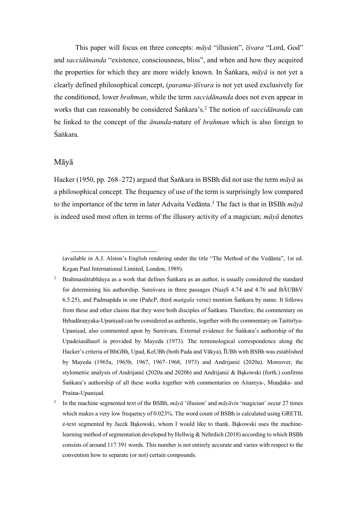This paper will focus on three concepts: *māyā* "illusion", *īśvara* "Lord, God" and *saccidānanda* "existence, consciousness, bliss", and when and how they acquired the properties for which they are more widely known. In Śaṅkara, *māyā* is not yet a clearly defined philosophical concept, (*parama*-)*īśvara* is not yet used exclusively for the conditioned, lower *brahman*, while the term *saccidānanda* does not even appear in works that can reasonably be considered Śaṅkara's. <sup>2</sup> The notion of *saccidānanda* can be linked to the concept of the *ānanda*-nature of *brahman* which is also foreign to Śaṅkara.

#### Māyā

Hacker (1950, pp. 268–272) argued that Śaṅkara in BSBh did not use the term *māyā* as a philosophical concept. The frequency of use of the term is surprisingly low compared to the importance of the term in later Advaita Vedānta.3 The fact is that in BSBh *māyā* is indeed used most often in terms of the illusory activity of a magician; *māyā* denotes

<sup>(</sup>available in A.J. Alston's English rendering under the title "The Method of the Vedānta", 1st ed. Kegan Paul International Limited, London, 1989).

<sup>&</sup>lt;sup>2</sup> Brahmasūtrabhāsya as a work that defines Śaṅkara as an author, is usually considered the standard for determining his authorship. Sureśvara in three passages (NaiṣS 4.74 and 4.76 and BĀUBhV 6.5.25), and Padmapāda in one (PañcP, third *maṅgala* verse) mention Śaṅkara by name. It follows from these and other claims that they were both disciples of Śaṅkara. Therefore, the commentary on Brhadāranyaka-Upanisad can be considered as authentic, together with the commentary on Taittirīya-Upaniṣad, also commented upon by Sureśvara. External evidence for Śaṅkara's authorship of the Upadeśasāhasrī is provided by Mayeda (1973). The terminological correspondence along the Hacker's criteria of BhGBh, Upad, KeUBh (both Pada and Vākya), ĪUBh with BSBh was established by Mayeda (1965a, 1965b, 1967, 1967–1968, 1973) and Andrijanić (2020a). Moreover, the stylometric analysis of Andrijanić (2020a and 2020b) and Andrijanić & Bąkowski (forth.) confirms Śaṅkara's authorship of all these works together with commentaries on Aitareya-, Muṇḍaka- and Praśna-Upaniṣad.

<sup>3</sup> In the machine segmented text of the BSBh, *māyā* 'illusion' and *māyāvin* 'magician' occur 27 times which makes a very low frequency of 0.023%. The word count of BSBh is calculated using GRETIL e-text segmented by Jacek Bąkowski, whom I would like to thank. Bąkowski uses the machinelearning method of segmentation developed by Hellwig & Nehrdich (2018) according to which BSBh consists of around 117 391 words. This number is not entirely accurate and varies with respect to the convention how to separate (or not) certain compounds.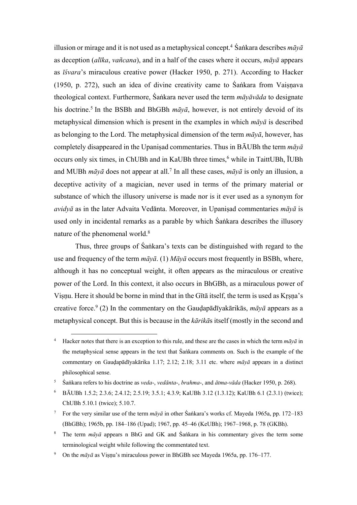illusion or mirage and it is not used as a metaphysical concept.<sup>4</sup> Sankara describes  $m\bar{a}y\bar{a}$ as deception (*alīka*, *vañcana*), and in a half of the cases where it occurs, *māyā* appears as *īśvara*'s miraculous creative power (Hacker 1950, p. 271). According to Hacker (1950, p. 272), such an idea of divine creativity came to Śaṅkara from Vaiṣṇava theological context. Furthermore, Śaṅkara never used the term *māyāvāda* to designate his doctrine.<sup>5</sup> In the BSBh and BhGBh  $m\bar{a}y\bar{a}$ , however, is not entirely devoid of its metaphysical dimension which is present in the examples in which *māyā* is described as belonging to the Lord. The metaphysical dimension of the term *māyā*, however, has completely disappeared in the Upaniṣad commentaries. Thus in BĀUBh the term *māyā* occurs only six times, in ChUBh and in KaUBh three times,<sup>6</sup> while in TaittUBh, IUBh and MUBh *māyā* does not appear at all.7 In all these cases, *māyā* is only an illusion, a deceptive activity of a magician, never used in terms of the primary material or substance of which the illusory universe is made nor is it ever used as a synonym for *avidyā* as in the later Advaita Vedānta. Moreover, in Upaniṣad commentaries *māyā* is used only in incidental remarks as a parable by which Śaṅkara describes the illusory nature of the phenomenal world.8

Thus, three groups of Śaṅkara's texts can be distinguished with regard to the use and frequency of the term *māyā*. (1) *Māyā* occurs most frequently in BSBh, where, although it has no conceptual weight, it often appears as the miraculous or creative power of the Lord. In this context, it also occurs in BhGBh, as a miraculous power of Viṣṇu. Here it should be borne in mind that in the Gītā itself, the term is used as Kṛṣṇa's creative force.9 (2) In the commentary on the Gauḍapādīyakārikās, *māyā* appears as a metaphysical concept. But this is because in the *kārikā*s itself (mostly in the second and

<sup>&</sup>lt;sup>4</sup> Hacker notes that there is an exception to this rule, and these are the cases in which the term  $m\bar{a}v\bar{a}$  in the metaphysical sense appears in the text that Śaṅkara comments on. Such is the example of the commentary on Gauḍapādīyakārika 1.17; 2.12; 2.18; 3.11 etc. where *māyā* appears in a distinct philosophical sense.

<sup>5</sup> Śaṅkara refers to his doctrine as *veda*-, *vedānta*-, *brahma*-, and *ātma*-*vāda* (Hacker 1950, p. 268).

<sup>6</sup> BĀUBh 1.5.2; 2.3.6; 2.4.12; 2.5.19; 3.5.1; 4.3.9; KaUBh 3.12 (1.3.12); KaUBh 6.1 (2.3.1) (twice); ChUBh 5.10.1 (twice); 5.10.7.

<sup>&</sup>lt;sup>7</sup> For the very similar use of the term  $m\bar{a}y\bar{a}$  in other Śaṅkara's works cf. Mayeda 1965a, pp. 172–183 (BhGBh); 1965b, pp. 184–186 (Upad); 1967, pp. 45–46 (KeUBh); 1967–1968, p. 78 (GKBh).

<sup>8</sup> The term *māyā* appears n BhG and GK and Śaṅkara in his commentary gives the term some terminological weight while following the commentated text.

<sup>&</sup>lt;sup>9</sup> On the  $m\bar{a}y\bar{a}$  as Visnu's miraculous power in BhGBh see Mayeda 1965a, pp. 176–177.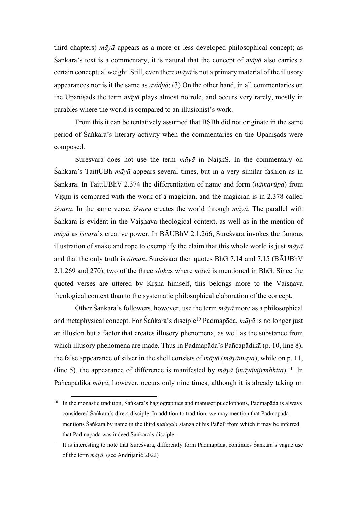third chapters) *māyā* appears as a more or less developed philosophical concept; as Śaṅkara's text is a commentary, it is natural that the concept of *māyā* also carries a certain conceptual weight. Still, even there *māyā* is not a primary material of the illusory appearances nor is it the same as *avidyā*; (3) On the other hand, in all commentaries on the Upaniṣads the term *māyā* plays almost no role, and occurs very rarely, mostly in parables where the world is compared to an illusionist's work.

From this it can be tentatively assumed that BSBh did not originate in the same period of Śaṅkara's literary activity when the commentaries on the Upaniṣads were composed.

Sureśvara does not use the term *māyā* in NaiṣkS. In the commentary on Śaṅkara's TaittUBh *māyā* appears several times, but in a very similar fashion as in Śaṅkara. In TaittUBhV 2.374 the differentiation of name and form (*nāmarūpa*) from Visnu is compared with the work of a magician, and the magician is in 2.378 called *īśvara*. In the same verse, *īśvara* creates the world through *māyā*. The parallel with Sankara is evident in the Vaisnava theological context, as well as in the mention of *māyā* as *īśvara*'s creative power. In BĀUBhV 2.1.266, Sureśvara invokes the famous illustration of snake and rope to exemplify the claim that this whole world is just *māyā* and that the only truth is *ātman*. Sureśvara then quotes BhG 7.14 and 7.15 (BĀUBhV 2.1.269 and 270), two of the three *śloka*s where *māyā* is mentioned in BhG. Since the quoted verses are uttered by Kṛṣṇa himself, this belongs more to the Vaiṣṇava theological context than to the systematic philosophical elaboration of the concept.

Other Śaṅkara's followers, however, use the term *māyā* more as a philosophical and metaphysical concept. For Śaṅkara's disciple<sup>10</sup> Padmapāda, *māyā* is no longer just an illusion but a factor that creates illusory phenomena, as well as the substance from which illusory phenomena are made. Thus in Padmapāda's Pañcapādikā (p. 10, line 8), the false appearance of silver in the shell consists of *māyā* (*māyāmaya*), while on p. 11, (line 5), the appearance of difference is manifested by *māyā* (*māyāvijṛmbhita*).11 In Pañcapādikā *māyā*, however, occurs only nine times; although it is already taking on

<sup>10</sup> In the monastic tradition, Śaṅkara's hagiographies and manuscript colophons, Padmapāda is always considered Śaṅkara's direct disciple. In addition to tradition, we may mention that Padmapāda mentions Śaṅkara by name in the third *maṅgala* stanza of his PañcP from which it may be inferred that Padmapāda was indeed Śaṅkara's disciple.

<sup>&</sup>lt;sup>11</sup> It is interesting to note that Sureśvara, differently form Padmapāda, continues Śaṅkara's vague use of the term *māyā*. (see Andrijanić 2022)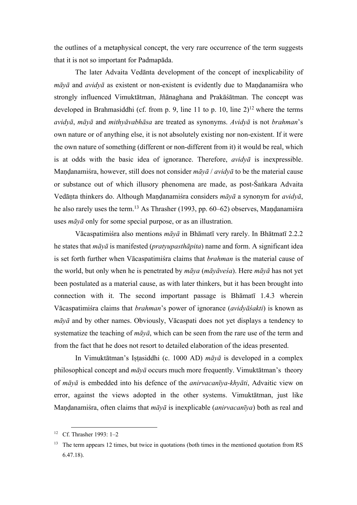the outlines of a metaphysical concept, the very rare occurrence of the term suggests that it is not so important for Padmapāda.

The later Advaita Vedānta development of the concept of inexplicability of *māyā* and *avidyā* as existent or non-existent is evidently due to Maṇḍanamiśra who strongly influenced Vimuktātman, Jñānaghana and Prakāśātman. The concept was developed in Brahmasiddhi (cf. from p. 9, line 11 to p. 10, line  $2^{12}$  where the terms *avidyā*, *māyā* and *mithyāvabhāsa* are treated as synonyms. *Avidyā* is not *brahman*'s own nature or of anything else, it is not absolutely existing nor non-existent. If it were the own nature of something (different or non-different from it) it would be real, which is at odds with the basic idea of ignorance. Therefore, *avidyā* is inexpressible. Maṇḍanamiśra, however, still does not consider *māyā* / *avidyā* to be the material cause or substance out of which illusory phenomena are made, as post-Śaṅkara Advaita Vedāṇta thinkers do. Although Maṇḍanamiśra considers *māyā* a synonym for *avidyā*, he also rarely uses the term.<sup>13</sup> As Thrasher (1993, pp. 60–62) observes, Maṇḍanamiśra uses *māyā* only for some special purpose, or as an illustration.

Vācaspatimiśra also mentions *māyā* in Bhāmatī very rarely. In Bhātmatī 2.2.2 he states that *māyā* is manifested (*pratyupasthāpita*) name and form. A significant idea is set forth further when Vācaspatimiśra claims that *brahman* is the material cause of the world, but only when he is penetrated by *māya* (*māyāveśa*). Here *māyā* has not yet been postulated as a material cause, as with later thinkers, but it has been brought into connection with it. The second important passage is Bhāmatī 1.4.3 wherein Vācaspatimiśra claims that *brahman*'s power of ignorance (*avidyāśakti*) is known as *māyā* and by other names. Obviously, Vācaspati does not yet displays a tendency to systematize the teaching of *māyā*, which can be seen from the rare use of the term and from the fact that he does not resort to detailed elaboration of the ideas presented.

In Vimuktātman's Iṣṭasiddhi (c. 1000 AD) *māyā* is developed in a complex philosophical concept and *māyā* occurs much more frequently. Vimuktātman's theory of *māyā* is embedded into his defence of the *anirvacanīya-khyāti*, Advaitic view on error, against the views adopted in the other systems. Vimuktātman, just like Maṇḍanamiśra, often claims that *māyā* is inexplicable (*anirvacanīya*) both as real and

<sup>12</sup> Cf. Thrasher 1993: 1–2

The term appears 12 times, but twice in quotations (both times in the mentioned quotation from RS 6.47.18).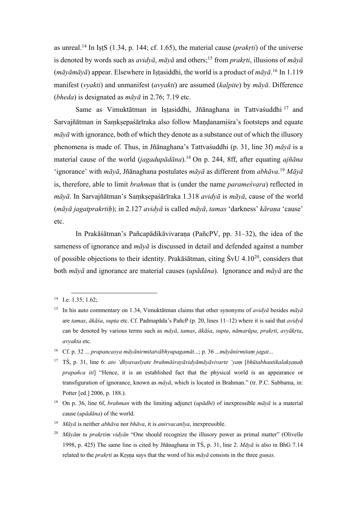as unreal. <sup>14</sup> In IṣṭS (1.34, p. 144; cf. 1.65), the material cause (*prakṛti*) of the universe is denoted by words such as *avidyā*, *māyā* and others; <sup>15</sup> from *prakṛti*, illusions of *māyā* (*māyāmāyā*) appear. Elsewhere in Iṣṭasiddhi, the world is a product of *māyā*. <sup>16</sup> In 1.119 manifest (*vyakti*) and unmanifest (*avyakti*) are assumed (*kalpite*) by *māyā*. Difference (*bheda*) is designated as *māyā* in 2.76; 7.19 etc.

Same as Vimuktātman in Iṣṭasiddhi, Jñānaghana in Tattvaśuddhi <sup>17</sup> and Sarvajñātman in Samksepaśārīraka also follow Mandanamiśra's footsteps and equate *māyā* with ignorance, both of which they denote as a substance out of which the illusory phenomena is made of. Thus, in Jñānaghana's Tattvaśuddhi (p. 31, line 3f) *māyā* is a material cause of the world (*jagadupādāna*).18 On p. 244, 8ff, after equating *ajñāna* 'ignorance' with *māyā*, Jñānaghana postulates *māyā* as different from *abhāva*. <sup>19</sup> *Māyā* is, therefore, able to limit *brahman* that is (under the name *parameśvara*) reflected in *māyā*. In Sarvajñātman's Saṃkṣepaśārīraka 1.318 *avidyā* is *māyā*, cause of the world (*māyā jagatprakrtiḥ*); in 2.127 *avidyā* is called *māyā*, *tamas* 'darkness' *kāraṇa* 'cause' etc.

In Prakāśātman's Pañcapādikāvivarana (PañcPV, pp. 31–32), the idea of the sameness of ignorance and *māyā* is discussed in detail and defended against a number of possible objections to their identity. Prakāśātman, citing  $S<sub>V</sub>U$  4.10<sup>20</sup>, considers that both *māyā* and ignorance are material causes (*upādāna*). Ignorance and *māyā* are the

<sup>&</sup>lt;sup>14</sup> I.e. 1.35; 1.62;

<sup>15</sup> In his auto commentary on 1.34, Vimuktātman claims that other synonyms of *avidyā* besides *māyā* are *tamas*, *ākāśa*, *supta* etc. Cf. Padmapāda's PañcP (p. 20, lines 11–12) where it is said that *avidyā* can be denoted by various terms such as *māyā*, *tamas*, *ākāśa*, *supta*, *nāmarūpa*, *prakṛti*, *avyākṛta*, *avyakta* etc.

<sup>16</sup> Cf. p. 32 ... *prapancasya māyānirmitatvābhyupagamāt*...; p. 36 ...*māyānirmitaṃ jagat*...

<sup>17</sup> TŚ, p. 31, line 6: *ato 'dhyavasīyate brahmāśrayāvidyāmāyāvivarte 'yaṃ* [*bhūtabhautikalakṣaṇaḥ prapañca iti*] "Hence, it is an established fact that the physical world is an appearance or transfiguration of ignorance, known as *māyā*, which is located in Brahman." (tr. P.C. Subbama, in: Potter [ed.] 2006, p. 188.).

<sup>18</sup> On p. 36, line 6f, *brahman* with the limiting adjunct (*upādhi*) of inexpressible *māyā* is a material cause (*upādāna*) of the world.

<sup>19</sup> *Māyā* is neither *abhāva* nor *bhāva*, it is *anirvacanīya*, inexpressible.

<sup>20</sup> *Māyāṃ tu prakṛtiṃ vidyān* "One should recognize the illusory power as primal matter" (Olivelle 1998, p. 425) The same line is cited by Jñānaghana in TŚ, p. 31, line 2. *Māyā* is also in BhG 7.14 related to the *prakṛti* as Kṛṣṇa says that the word of his *māyā* consists in the three *guṇas*.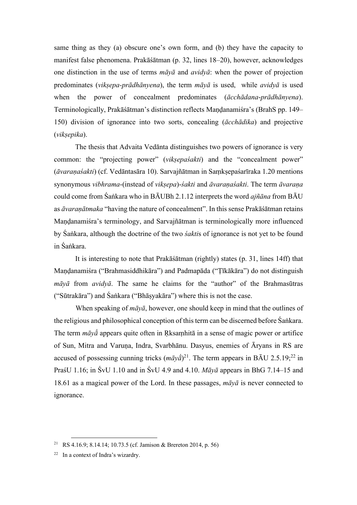same thing as they (a) obscure one's own form, and (b) they have the capacity to manifest false phenomena. Prakāśātman (p. 32, lines 18–20), however, acknowledges one distinction in the use of terms *māyā* and *avidyā*: when the power of projection predominates (*vikṣepa-prādhānyena*), the term *māyā* is used, while *avidyā* is used when the power of concealment predominates (*ācchādana*-*prādhānyena*). Terminologically, Prakāśātman's distinction reflects Maṇḍanamiśra's (BrahS pp. 149– 150) division of ignorance into two sorts, concealing (*ācchādika*) and projective (*vikṣepika*).

The thesis that Advaita Vedānta distinguishes two powers of ignorance is very common: the "projecting power" (*vikṣepaśakti*) and the "concealment power" (*āvaraṇaśakti*) (cf. Vedāntasāra 10). Sarvajñātman in Saṃkṣepaśarīraka 1.20 mentions synonymous *vibhrama*-(instead of *vikṣepa*)-*śakti* and *āvaraṇaśakti*. The term *āvaraṇa* could come from Śaṅkara who in BĀUBh 2.1.12 interprets the word *ajñāna* from BĀU as *āvaraṇātmaka* "having the nature of concealment". In this sense Prakāśātman retains Maṇḍanamiśra's terminology, and Sarvajñātman is terminologically more influenced by Śaṅkara, although the doctrine of the two *śakti*s of ignorance is not yet to be found in Śaṅkara.

It is interesting to note that Prakāśātman (rightly) states (p. 31, lines 14ff) that Maṇḍanamiśra ("Brahmasiddhikāra") and Padmapāda ("Ṭīkākāra") do not distinguish *māyā* from *avidyā*. The same he claims for the "author" of the Brahmasūtras ("Sūtrakāra") and Śaṅkara ("Bhāṣyakāra") where this is not the case.

When speaking of *māyā*, however, one should keep in mind that the outlines of the religious and philosophical conception of this term can be discerned before Śaṅkara. The term  $m\bar{a}v\bar{a}$  appears quite often in Rksamhita in a sense of magic power or artifice of Sun, Mitra and Varuna, Indra, Svarbhānu. Dasyus, enemies of Āryans in RS are accused of possessing cunning tricks  $(m\bar{a}y\bar{a})^{21}$ . The term appears in BAU 2.5.19;<sup>22</sup> in PraśU 1.16; in ŚvU 1.10 and in ŚvU 4.9 and 4.10. *Māyā* appears in BhG 7.14–15 and 18.61 as a magical power of the Lord. In these passages, *māyā* is never connected to ignorance.

<sup>21</sup> RS 4.16.9; 8.14.14; 10.73.5 (cf. Jamison & Brereton 2014, p. 56)

 $22$  In a context of Indra's wizardry.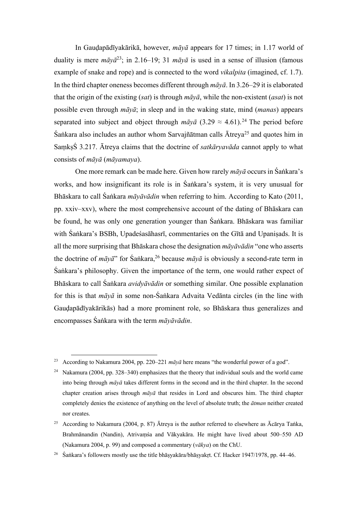In Gauḍapādīyakārikā, however, *māyā* appears for 17 times; in 1.17 world of duality is mere  $m\bar{a}v\bar{a}^{23}$ ; in 2.16–19; 31  $m\bar{a}v\bar{a}$  is used in a sense of illusion (famous example of snake and rope) and is connected to the word *vikalpita* (imagined, cf. 1.7). In the third chapter oneness becomes different through *māyā*. In 3.26–29 it is elaborated that the origin of the existing (*sat*) is through *māyā*, while the non-existent (*asat*) is not possible even through *māyā*; in sleep and in the waking state, mind (*manas*) appears separated into subject and object through  $m\bar{a}v\bar{a}$  (3.29  $\approx$  4.61).<sup>24</sup> The period before  $\hat{S}$ ankara also includes an author whom Sarvajñātman calls  $\bar{A}$ treya<sup>25</sup> and quotes him in SaṃkṣŚ 3.217. Ātreya claims that the doctrine of *satkāryavāda* cannot apply to what consists of *māyā* (*māyamaya*).

One more remark can be made here. Given how rarely *māyā* occurs in Śaṅkara's works, and how insignificant its role is in Śaṅkara's system, it is very unusual for Bhāskara to call Śaṅkara *māyāvādin* when referring to him. According to Kato (2011, pp. xxiv–xxv), where the most comprehensive account of the dating of Bhāskara can be found, he was only one generation younger than Śaṅkara. Bhāskara was familiar with Śaṅkara's BSBh, Upadeśasāhasrī, commentaries on the Gītā and Upanisads. It is all the more surprising that Bhāskara chose the designation *māyāvādin* "one who asserts the doctrine of  $m\bar{q}y\bar{q}$ " for Śaṅkara,<sup>26</sup> because  $m\bar{q}y\bar{q}$  is obviously a second-rate term in Śaṅkara's philosophy. Given the importance of the term, one would rather expect of Bhāskara to call Śaṅkara *avidyāvādin* or something similar. One possible explanation for this is that *māyā* in some non-Śaṅkara Advaita Vedānta circles (in the line with Gauḍapādīyakārikās) had a more prominent role, so Bhāskara thus generalizes and encompasses Śaṅkara with the term *māyāvādin*.

<sup>23</sup> According to Nakamura 2004, pp. 220–221 *māyā* here means "the wonderful power of a god".

<sup>&</sup>lt;sup>24</sup> Nakamura (2004, pp. 328–340) emphasizes that the theory that individual souls and the world came into being through *māyā* takes different forms in the second and in the third chapter. In the second chapter creation arises through *māyā* that resides in Lord and obscures him. The third chapter completely denies the existence of anything on the level of absolute truth; the *ātman* neither created nor creates.

<sup>&</sup>lt;sup>25</sup> According to Nakamura (2004, p. 87) Ātreya is the author referred to elsewhere as Ācārya Taṅka, Brahmānandin (Nandin), Atrivaṃśa and Vākyakāra. He might have lived about 500–550 AD (Nakamura 2004, p. 99) and composed a commentary (*vākya*) on the ChU.

<sup>&</sup>lt;sup>26</sup> Śaṅkara's followers mostly use the title bhāṣyakāra/bhāṣyakṛt. Cf. Hacker 1947/1978, pp. 44–46.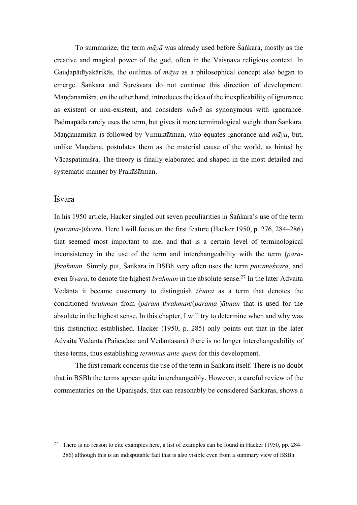To summarize, the term *māyā* was already used before Śaṅkara, mostly as the creative and magical power of the god, often in the Vaisnava religious context. In Gauḍapādīyakārikās, the outlines of *māya* as a philosophical concept also began to emerge. Śaṅkara and Sureśvara do not continue this direction of development. Mandanamiśra, on the other hand, introduces the idea of the inexplicability of ignorance as existent or non-existent, and considers *māyā* as synonymous with ignorance. Padmapāda rarely uses the term, but gives it more terminological weight than Śaṅkara. Maṇḍanamiśra is followed by Vimuktātman, who equates ignorance and *māya*, but, unlike Maṇḍana, postulates them as the material cause of the world, as hinted by Vācaspatimiśra. The theory is finally elaborated and shaped in the most detailed and systematic manner by Prakāśātman.

# Īśvara

In his 1950 article, Hacker singled out seven peculiarities in Śaṅkara's use of the term (*parama*-)*īśvara*. Here I will focus on the first feature (Hacker 1950, p. 276, 284–286) that seemed most important to me, and that is a certain level of terminological inconsistency in the use of the term and interchangeability with the term (*para*- )*brahman*. Simply put, Śaṅkara in BSBh very often uses the term *parameśvara*, and even *īśvara*, to denote the highest *brahman* in the absolute sense.<sup>27</sup> In the later Advaita Vedānta it became customary to distinguish *īśvara* as a term that denotes the conditioned *brahman* from (*param*-)*brahman*/(*parama*-)*ātman* that is used for the absolute in the highest sense. In this chapter, I will try to determine when and why was this distinction established. Hacker (1950, p. 285) only points out that in the later Advaita Vedānta (Pañcadasī and Vedāntasāra) there is no longer interchangeability of these terms, thus establishing *terminus ante quem* for this development.

The first remark concerns the use of the term in Śaṅkara itself. There is no doubt that in BSBh the terms appear quite interchangeably. However, a careful review of the commentaries on the Upaniṣads, that can reasonably be considered Śaṅkaras, shows a

<sup>&</sup>lt;sup>27</sup> There is no reason to cite examples here, a list of examples can be found in Hacker (1950, pp. 284– 286) although this is an indisputable fact that is also visible even from a summary view of BSBh.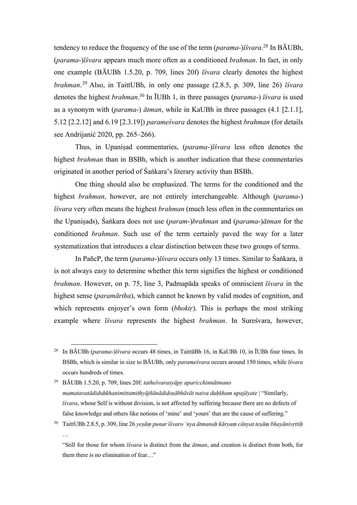tendency to reduce the frequency of the use of the term (*parama*-)*īśvara*. <sup>28</sup> In BĀUBh, (*parama*-)*īśvara* appears much more often as a conditioned *brahman*. In fact, in only one example (BĀUBh 1.5.20, p. 709, lines 20f) *īśvara* clearly denotes the highest *brahman*. <sup>29</sup> Also, in TaittUBh, in only one passage (2.8.5, p. 309, line 26) *īśvara* denotes the highest *brahman*. <sup>30</sup> In ĪUBh 1, in three passages (*parama*-) *īśvara* is used as a synonym with (*parama*-) *ātman*, while in KaUBh in three passages (4.1 [2.1.1], 5.12 [2.2.12] and 6.19 [2.3.19]) *parameśvara* denotes the highest *brahman* (for details see Andrijanić 2020, pp. 265–266).

Thus, in Upaniṣad commentaries, (*parama*-)*īśvara* less often denotes the highest *brahman* than in BSBh, which is another indication that these commentaries originated in another period of Śaṅkara's literary activity than BSBh.

One thing should also be emphasized. The terms for the conditioned and the highest *brahman*, however, are not entirely interchangeable. Although (*parama*-) *īśvara* very often means the highest *brahman* (much less often in the commentaries on the Upaniṣads), Śaṅkara does not use (*param*-)*brahman* and (*parama*-)*ātman* for the conditioned *brahman*. Such use of the term certainly paved the way for a later systematization that introduces a clear distinction between these two groups of terms.

In PañcP, the term (*parama*-)*īśvara* occurs only 13 times. Similar to Śaṅkara, it is not always easy to determine whether this term signifies the highest or conditioned *brahman*. However, on p. 75, line 3, Padmapāda speaks of omniscient *īśvara* in the highest sense (*paramārtha*), which cannot be known by valid modes of cognition, and which represents enjoyer's own form *(bhoktr)*. This is perhaps the most striking example where *īśvara* represents the highest *brahman*. In Sureśvara, however,

<sup>28</sup> In BĀUBh (*parama*-)*īśvara* occurs 48 times, in TaittūBh 16, in KaUBh 10, in ĪUBh four times. In BSBh, which is similar in size to BĀUBh, only *parameśvara* occurs around 150 times, while *īśvara* occurs hundreds of times.

<sup>29</sup> BĀUBh 1.5.20, p. 709, lines 20f: *tatheśvarasyāpy aparicchinnātmano mamatavatādiduḥkhanimittamithyājñānādidoṣābhāvāt naiva duḥkham upajāyate* | "Similarly, *īśvara*, whose Self is without division, is not affected by suffering because there are no defects of false knowledge and others like notions of 'mine' and 'yours' that are the cause of suffering."

<sup>30</sup> TaittUBh 2.8.5, p. 309, line 26 *yeṣāṃ punar īśvaro 'nya ātmanaḥ kāryaṃ cānyat teṣāṃ bhayānivṛttiḥ* …

<sup>&</sup>quot;Still for those for whom *īśvara* is distinct from the *ātman*, and creation is distinct from both, for them there is no elimination of fear…"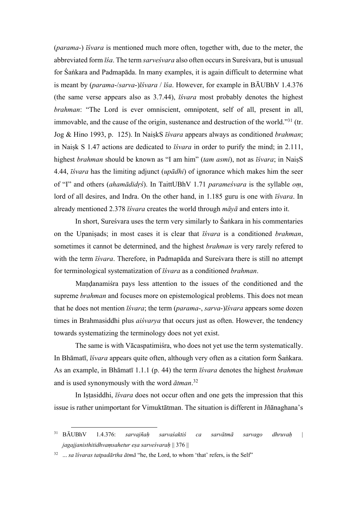(*parama*-) *īśvara* is mentioned much more often, together with, due to the meter, the abbreviated form *īśa*. The term *sarveśvara* also often occursin Sureśvara, but is unusual for Śaṅkara and Padmapāda. In many examples, it is again difficult to determine what is meant by (*parama*-/*sarva*-)*īśvara* / *īśa*. However, for example in BĀUBhV 1.4.376 (the same verse appears also as 3.7.44), *īśvara* most probably denotes the highest *brahman*: "The Lord is ever omniscient, omnipotent, self of all, present in all, immovable, and the cause of the origin, sustenance and destruction of the world."<sup>31</sup> (tr. Jog & Hino 1993, p. 125). In NaiṣkS *īśvara* appears always as conditioned *brahman*; in Naiṣk S 1.47 actions are dedicated to *īśvara* in order to purify the mind; in 2.111, highest *brahman* should be known as "I am him" (*tam asmi*), not as *īśvara*; in NaiṣS 4.44, *īśvara* has the limiting adjunct (*upādhi*) of ignorance which makes him the seer of "I" and others (*ahamādidṛś*). In TaittUBhV 1.71 *parameśvara* is the syllable *oṃ*, lord of all desires, and Indra. On the other hand, in 1.185 guru is one with *īśvara*. In already mentioned 2.378 *īśvara* creates the world through *māyā* and enters into it.

In short, Sureśvara uses the term very similarly to Śaṅkara in his commentaries on the Upaniṣads; in most cases it is clear that *īśvara* is a conditioned *brahman*, sometimes it cannot be determined, and the highest *brahman* is very rarely refered to with the term *īśvara*. Therefore, in Padmapāda and Sureśvara there is still no attempt for terminological systematization of *īśvara* as a conditioned *brahman*.

Maṇḍanamiśra pays less attention to the issues of the conditioned and the supreme *brahman* and focuses more on epistemological problems. This does not mean that he does not mention *īśvara*; the term (*parama*-, *sarva*-)*īśvara* appears some dozen times in Brahmasiddhi plus *aiśvarya* that occurs just as often. However, the tendency towards systematizing the terminology does not yet exist.

The same is with Vācaspatimiśra, who does not yet use the term systematically. In Bhāmatī, *īśvara* appears quite often, although very often as a citation form Śaṅkara. As an example, in Bhāmatī 1.1.1 (p. 44) the term *īśvara* denotes the highest *brahman* and is used synonymously with the word *ātman*. 32

In Iṣṭasiddhi, *īśvara* does not occur often and one gets the impression that this issue is rather unimportant for Vimuktātman. The situation is different in Jñānaghana's

<sup>31</sup> BĀUBhV 1.4.376: *sarvajñaḥ sarvaśaktiś ca sarvātmā sarvago dhruvaḥ* | *jagajjanisthitidhvaṃsahetur eṣa sarveśvaraḥ* || 376 ||

<sup>&</sup>lt;sup>32</sup> ... *sa īśvaras tatpadārtha ātmā* "he, the Lord, to whom 'that' refers, is the Self"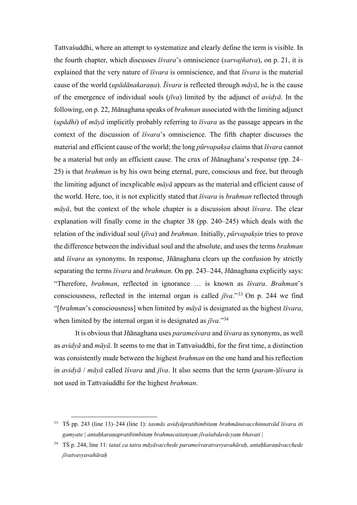Tattvaśuddhi, where an attempt to systematize and clearly define the term is visible. In the fourth chapter, which discusses *īśvara*'s omniscience (*sarvajñatva*), on p. 21, it is explained that the very nature of *īśvara* is omniscience, and that *īśvara* is the material cause of the world (*upādānakaraṇa*). *Īśvara* is reflected through *māyā*, he is the cause of the emergence of individual souls (*jīva*) limited by the adjunct of *avidyā*. In the following, on p. 22, Jñānaghana speaks of *brahman* associated with the limiting adjunct (*upādhi*) of *māyā* implicitly probably referring to *īśvara* as the passage appears in the context of the discussion of *īśvara*'s omniscience. The fifth chapter discusses the material and efficient cause of the world; the long *pūrvapakṣa* claims that *īśvara* cannot be a material but only an efficient cause. The crux of Jñānaghana's response (pp. 24– 25) is that *brahman* is by his own being eternal, pure, conscious and free, but through the limiting adjunct of inexplicable *māyā* appears as the material and efficient cause of the world. Here, too, it is not explicitly stated that *īśvara* is *brahman* reflected through *māyā*, but the context of the whole chapter is a discussion about *īśvara*. The clear explanation will finally come in the chapter 38 (pp. 240–245) which deals with the relation of the individual soul (*jīva*) and *brahman*. Initially, *pūrvapakṣin* tries to prove the difference between the individual soul and the absolute, and uses the terms *brahman* and *īśvara* as synonyms. In response, Jñānaghana clears up the confusion by strictly separating the terms *īśvara* and *brahman*. On pp. 243–244, Jñānaghana explicitly says: "Therefore, *brahman*, reflected in ignorance … is known as *īśvara*. *Brahman*'s consciousness, reflected in the internal organ is called *jīva*."33 On p. 244 we find "[*brahman*'s consciousness] when limited by *māyā* is designated as the highest *īśvara*, when limited by the internal organ it is designated as *jīva*."34

It is obvious that Jñānaghana uses *parameśvara* and *īśvara* as synonyms, as well as *avidyā* and *māyā*. It seems to me that in Tattvaśuddhi, for the first time, a distinction was consistently made between the highest *brahman* on the one hand and his reflection in *avidyā* / *māyā* called *īśvara* and *jīva*. It also seems that the term (*param*-)*īśvara* is not used in Tattvaśuddhi for the highest *brahman*.

<sup>33</sup> TŚ pp. 243 (line 13)–244 (line 1): *tasmās avidyāpratibimbitaṃ brahmānavacchinnatvād īśvara iti gamyate | antaḥkaraṇapratibimbitaṃ brahmacaitanyaṃ jīvaśabdavācyaṃ bhavati* |

<sup>34</sup> TŚ p. 244, line 11: *tataś ca tatra māyāvacchede parameśvaratvavyavahāraḥ, antaḥkaraṇāvacchede jīvatvavyavahāraḥ*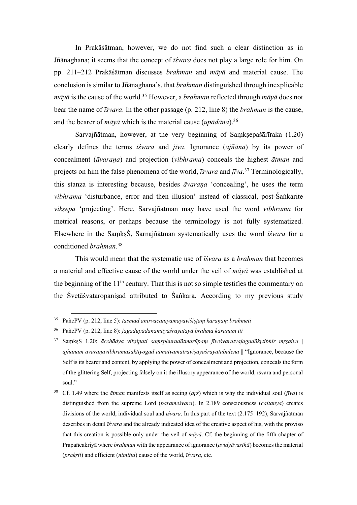In Prakāśātman, however, we do not find such a clear distinction as in Jñānaghana; it seems that the concept of *īśvara* does not play a large role for him. On pp. 211–212 Prakāśātman discusses *brahman* and *māyā* and material cause. The conclusion is similar to Jñānaghana's, that *brahman* distinguished through inexplicable  $m\bar{a}y\bar{a}$  is the cause of the world.<sup>35</sup> However, a *brahman* reflected through  $m\bar{a}y\bar{a}$  does not bear the name of *īśvara*. In the other passage (p. 212, line 8) the *brahman* is the cause, and the bearer of *māyā* which is the material cause (*upādāna*). 36

Sarvajñātman, however, at the very beginning of Samksepaśārīraka (1.20) clearly defines the terms *īśvara* and *jīva*. Ignorance (*ajñāna*) by its power of concealment (*āvaraṇa*) and projection (*vibhrama*) conceals the highest *ātman* and projects on him the false phenomena of the world, *īśvara* and *jīva*. <sup>37</sup> Terminologically, this stanza is interesting because, besides *āvaraṇa* 'concealing', he uses the term *vibhrama* 'disturbance, error and then illusion' instead of classical, post-Śaṅkarite *vikṣepa* 'projecting'. Here, Sarvajñātman may have used the word *vibhrama* for metrical reasons, or perhaps because the terminology is not fully systematized. Elsewhere in the SaṃkṣŚ, Sarnajñātman systematically uses the word *īśvara* for a conditioned *brahman*. 38

This would mean that the systematic use of *īśvara* as a *brahman* that becomes a material and effective cause of the world under the veil of *māyā* was established at the beginning of the  $11<sup>th</sup>$  century. That this is not so simple testifies the commentary on the Śvetāśvataropaniṣad attributed to Śaṅkara. According to my previous study

<sup>35</sup> PañcPV (p. 212, line 5): *tasmād anirvacanīyamāyāviśiṣṭaṃ kāraṇaṃ brahmeti*

<sup>36</sup> PañcPV (p. 212, line 8): *jagadupādanamāyāśrayatayā brahma kāraṇam iti*

<sup>37</sup> SaṃkṣŚ 1.20: *ācchādya vikṣipati saṃsphuradātmarūpaṃ jīveśvaratvajagadākṛtibhir mṛṣaiva* | *ajñānam āvaraṇavibhramaśaktiyogād ātmatvamātraviṣayāśrayatābalena* || "Ignorance, because the Self is its bearer and content, by applying the power of concealment and projection, conceals the form of the glittering Self, projecting falsely on it the illusory appearance of the world, īśvara and personal soul."

<sup>38</sup> Cf. 1.49 where the *ātman* manifests itself as seeing (*dṛś*) which is why the individual soul (*jīva*) is distinguished from the supreme Lord (*parameśvara*). In 2.189 consciousness (*caitanya*) creates divisions of the world, individual soul and *īśvara*. In this part of the text (2.175–192), Sarvajñātman describes in detail *īśvara* and the already indicated idea of the creative aspect of his, with the proviso that this creation is possible only under the veil of *māyā*. Cf. the beginning of the fifth chapter of Prapañcakriyā where *brahman* with the appearance of ignorance (*avidyāvasthā*) becomes the material (*prakṛti*) and efficient (*nimitta*) cause of the world, *īśvara*, etc.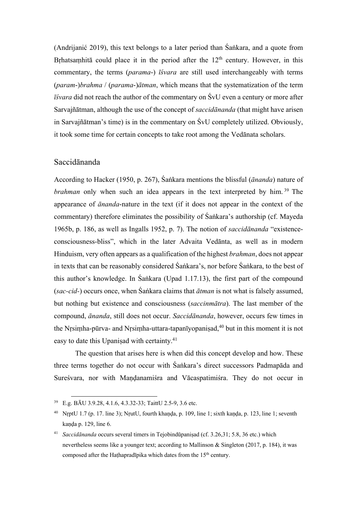(Andrijanić 2019), this text belongs to a later period than Śaṅkara, and a quote from Brhatsamhitā could place it in the period after the  $12<sup>th</sup>$  century. However, in this commentary, the terms (*parama*-) *īśvara* are still used interchangeably with terms (*param*-)*brahma* / (*parama*-)*ātman*, which means that the systematization of the term *īśvara* did not reach the author of the commentary on ŚvU even a century or more after Sarvajñātman, although the use of the concept of *saccidānanda* (that might have arisen in Sarvajñātman's time) is in the commentary on ŚvU completely utilized. Obviously, it took some time for certain concepts to take root among the Vedānata scholars.

### Saccidānanda

According to Hacker (1950, p. 267), Śaṅkara mentions the blissful (*ānanda*) nature of *brahman* only when such an idea appears in the text interpreted by him.<sup>39</sup> The appearance of *ānanda*-nature in the text (if it does not appear in the context of the commentary) therefore eliminates the possibility of Śaṅkara's authorship (cf. Mayeda 1965b, p. 186, as well as Ingalls 1952, p. 7). The notion of *saccidānanda* "existenceconsciousness-bliss", which in the later Advaita Vedānta, as well as in modern Hinduism, very often appears as a qualification of the highest *brahman*, does not appear in texts that can be reasonably considered Śaṅkara's, nor before Śaṅkara, to the best of this author's knowledge. In Śaṅkara (Upad 1.17.13), the first part of the compound (*sac-cid-*) occurs once, when Śaṅkara claims that *ātman* is not what is falsely assumed, but nothing but existence and consciousness (*saccinmātra*). The last member of the compound, *ānanda*, still does not occur. *Saccidānanda*, however, occurs few times in the Nṛsiṃha-pūrva- and Nṛsiṃha-uttara-tapanīyopaniṣad, <sup>40</sup> but in this moment it is not easy to date this Upanisad with certainty.<sup>41</sup>

The question that arises here is when did this concept develop and how. These three terms together do not occur with Śaṅkara's direct successors Padmapāda and Sureśvara, nor with Maṇḍanamiśra and Vācaspatimiśra. They do not occur in

<sup>39</sup> E.g. BĀU 3.9.28, 4.1.6, 4.3.32-33; TaittU 2.5-9, 3.6 etc.

<sup>40</sup> NṛptU 1.7 (p. 17. line 3); NṛutU, fourth khaṇḍa, p. 109, line 1; sixth kaṇḍa, p. 123, line 1; seventh kanda p. 129, line 6.

<sup>41</sup> *Saccidānanda* occurs several timers in Tejobindūpaniṣad (cf. 3.26,31; 5.8, 36 etc.) which nevertheless seems like a younger text; according to Mallinson & Singleton (2017, p. 184), it was composed after the Hathapradīpika which dates from the  $15<sup>th</sup>$  century.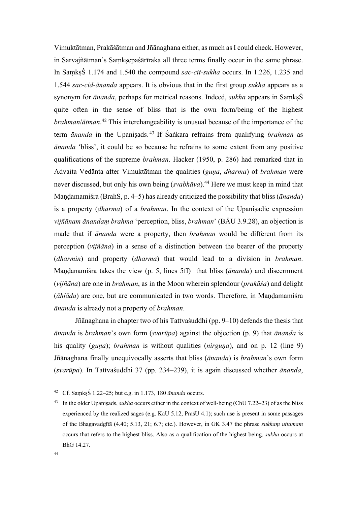Vimuktātman, Prakāśātman and Jñānaghana either, as much as I could check. However, in Sarvajñātman's Samksepaśārīraka all three terms finally occur in the same phrase. In SaṃkṣŚ 1.174 and 1.540 the compound *sac-cit-sukha* occurs. In 1.226, 1.235 and 1.544 *sac-cid-ānanda* appears. It is obvious that in the first group *sukha* appears as a synonym for *ānanda*, perhaps for metrical reasons. Indeed, *sukha* appears in SaṃkṣŚ quite often in the sense of bliss that is the own form/being of the highest *brahman*/*ātman*. <sup>42</sup> This interchangeability is unusual because of the importance of the term *ānanda* in the Upaniṣads. <sup>43</sup> If Śaṅkara refrains from qualifying *brahman* as *ānanda* 'bliss', it could be so because he refrains to some extent from any positive qualifications of the supreme *brahman*. Hacker (1950, p. 286) had remarked that in Advaita Vedānta after Vimuktātman the qualities (*guṇa*, *dharma*) of *brahman* were never discussed, but only his own being (*svabhāva*). <sup>44</sup> Here we must keep in mind that Maṇḍamamiśra (BrahS, p. 4–5) has already criticized the possibility that bliss (*ānanda*) is a property (*dharma*) of a *brahman*. In the context of the Upaniṣadic expression *vijñānam ānandaṃ brahma* 'perception, bliss, *brahman*' (BĀU 3.9.28), an objection is made that if *ānanda* were a property, then *brahman* would be different from its perception (*vijñāna*) in a sense of a distinction between the bearer of the property (*dharmin*) and property (*dharma*) that would lead to a division in *brahman*. Maṇḍanamiśra takes the view (p. 5, lines 5ff) that bliss (*ānanda*) and discernment (*vijñāna*) are one in *brahman*, as in the Moon wherein splendour (*prakāśa*) and delight (*āhlāda*) are one, but are communicated in two words. Therefore, in Maṇḍamamiśra *ānanda* is already not a property of *brahman*.

Jñānaghana in chapter two of his Tattvaśuddhi (pp. 9–10) defends the thesis that *ānanda* is *brahman*'s own form (*svarūpa*) against the objection (p. 9) that *ānanda* is his quality (*guna*); *brahman* is without qualities (*nirguna*), and on p. 12 (line 9) Jñānaghana finally unequivocally asserts that bliss (*ānanda*) is *brahman*'s own form (*svarūpa*). In Tattvaśuddhi 37 (pp. 234–239), it is again discussed whether *ānanda*,

<sup>42</sup> Cf. SaṃkṣŚ 1.22–25; but e.g. in 1.173, 180 *ānanda* occurs.

<sup>43</sup> In the older Upaniṣads, *sukha* occurs either in the context of well-being (ChU 7.22–23) of as the bliss experienced by the realized sages (e.g. KaU 5.12, PraśU 4.1); such use is present in some passages of the Bhagavadgītā (4.40; 5.13, 21; 6.7; etc.). However, in GK 3.47 the phrase *sukhaṃ uttamam* occurs that refers to the highest bliss. Also as a qualification of the highest being, *sukha* occurs at BhG 14.27.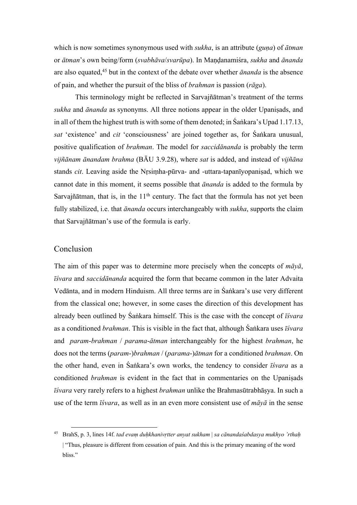which is now sometimes synonymous used with *sukha*, is an attribute (*guṇa*) of *ātman* or *ātman*'s own being/form (*svabhāva*/*svarūpa*). In Maṇḍanamiśra, *sukha* and *ānanda* are also equated,45 but in the context of the debate over whether *ānanda* is the absence of pain, and whether the pursuit of the bliss of *brahman* is passion (*rāga*).

This terminology might be reflected in Sarvajñātman's treatment of the terms *sukha* and *ānanda* as synonyms. All three notions appear in the older Upaniṣads, and in all of them the highest truth is with some of them denoted; in Śaṅkara's Upad 1.17.13, *sat* 'existence' and *cit* 'consciousness' are joined together as, for Śaṅkara unusual, positive qualification of *brahman*. The model for *saccidānanda* is probably the term *vijñānam ānandam brahma* (BĀU 3.9.28), where *sat* is added, and instead of *vijñāna* stands *cit*. Leaving aside the Nṛsiṃha-pūrva- and -uttara-tapanīyopaniṣad, which we cannot date in this moment, it seems possible that *ānanda* is added to the formula by Sarvajñātman, that is, in the  $11<sup>th</sup>$  century. The fact that the formula has not yet been fully stabilized, i.e. that *ānanda* occurs interchangeably with *sukha*, supports the claim that Sarvajñātman's use of the formula is early.

#### Conclusion

The aim of this paper was to determine more precisely when the concepts of *māyā*, *īśvara* and *saccidānanda* acquired the form that became common in the later Advaita Vedānta, and in modern Hinduism. All three terms are in Śaṅkara's use very different from the classical one; however, in some cases the direction of this development has already been outlined by Śaṅkara himself. This is the case with the concept of *īśvara* as a conditioned *brahman*. This is visible in the fact that, although Śaṅkara uses *īśvara* and *param*-*brahman* / *parama*-*ātman* interchangeably for the highest *brahman*, he does not the terms (*param*-)*brahman* / (*parama*-)*ātman* for a conditioned *brahman*. On the other hand, even in Śaṅkara's own works, the tendency to consider *īśvara* as a conditioned *brahman* is evident in the fact that in commentaries on the Upaniṣads *īśvara* very rarely refers to a highest *brahman* unlike the Brahmasūtrabhāṣya. In such a use of the term *īśvara*, as well as in an even more consistent use of *māyā* in the sense

<sup>45</sup> BrahS, p. 3, lines 14f. *tad evaṃ duḥkhanivṛtter anyat sukham* | *sa cānandaśabdasya mukhyo 'rthaḥ* | "Thus, pleasure is different from cessation of pain. And this is the primary meaning of the word bliss."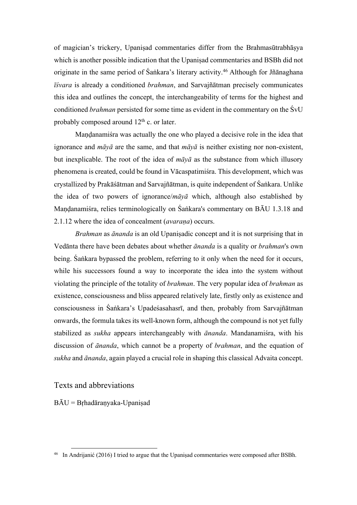of magician's trickery, Upaniṣad commentaries differ from the Brahmasūtrabhāṣya which is another possible indication that the Upanisad commentaries and BSBh did not originate in the same period of Śaṅkara's literary activity.<sup>46</sup> Although for Jñānaghana *īśvara* is already a conditioned *brahman*, and Sarvajñātman precisely communicates this idea and outlines the concept, the interchangeability of terms for the highest and conditioned *brahman* persisted for some time as evident in the commentary on the ŚvU probably composed around  $12<sup>th</sup>$  c. or later.

Maṇḍanamiśra was actually the one who played a decisive role in the idea that ignorance and *māyā* are the same, and that *māyā* is neither existing nor non-existent, but inexplicable. The root of the idea of *māyā* as the substance from which illusory phenomena is created, could be found in Vācaspatimiśra. This development, which was crystallized by Prakāśātman and Sarvajñātman, is quite independent of Śaṅkara. Unlike the idea of two powers of ignorance/*māyā* which, although also established by Maṇḍanamiśra, relies terminologically on Śaṅkara's commentary on BĀU 1.3.18 and 2.1.12 where the idea of concealment (*avaraṇa*) occurs.

*Brahman* as *ānanda* is an old Upaniṣadic concept and it is not surprising that in Vedānta there have been debates about whether *ānanda* is a quality or *brahman*'s own being. Śaṅkara bypassed the problem, referring to it only when the need for it occurs, while his successors found a way to incorporate the idea into the system without violating the principle of the totality of *brahman*. The very popular idea of *brahman* as existence, consciousness and bliss appeared relatively late, firstly only as existence and consciousness in Śaṅkara's Upadeśasahasrī, and then, probably from Sarvajñātman onwards, the formula takes its well-known form, although the compound is not yet fully stabilized as *sukha* appears interchangeably with *ānanda*. Mandanamiśra, with his discussion of *ānanda*, which cannot be a property of *brahman*, and the equation of *sukha* and *ānanda*, again played a crucial role in shaping this classical Advaita concept.

Texts and abbreviations

 $B\bar{A}U = B$ rhadāranyaka-Upaniṣad

<sup>&</sup>lt;sup>46</sup> In Andrijanić (2016) I tried to argue that the Upanisad commentaries were composed after BSBh.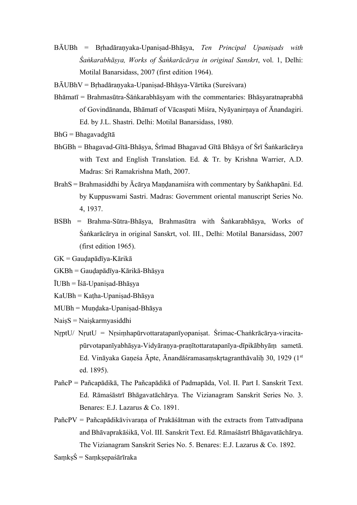- BĀUBh = Bṛhadāraṇyaka-Upaniṣad-Bhāṣya, *Ten Principal Upaniṣads with Śaṅkarabhāṣya, Works of Śaṅkarācārya in original Sanskrt*, vol. 1, Delhi: Motilal Banarsidass, 2007 (first edition 1964).
- BĀUBhV = Bṛhadāraṇyaka-Upaniṣad-Bhāṣya-Vārtika (Sureśvara)
- $Bh\bar{a}$ matī = Brahmasūtra-Śāṅkarabhāsyam with the commentaries: Bhāsyaratnaprabhā of Govindānanda, Bhāmatī of Vācaspati Miśra, Nyāyanirṇaya of Ānandagiri. Ed. by J.L. Shastri. Delhi: Motilal Banarsidass, 1980.
- BhG = Bhagavadgītā
- BhGBh = Bhagavad-Gītā-Bhāṣya, Śrīmad Bhagavad Gītā Bhāṣya of Śrī Śaṅkarācārya with Text and English Translation. Ed. & Tr. by Krishna Warrier, A.D. Madras: Sri Ramakrishna Math, 2007.
- BrahS = Brahmasiddhi by Ācārya Maṇḍanamiśra with commentary by Śaṅkhapāni. Ed. by Kuppuswami Sastri. Madras: Government oriental manuscript Series No. 4, 1937.
- BSBh = Brahma-Sūtra-Bhāṣya, Brahmasūtra with Śaṅkarabhāṣya, Works of Śaṅkarācārya in original Sanskrt, vol. III., Delhi: Motilal Banarsidass, 2007 (first edition 1965).
- GK = Gauḍapādīya-Kārikā
- GKBh = Gauḍapādīya-Kārikā-Bhāṣya
- $\overline{I}UBh = \overline{I}\sin\theta$  Upanisad-Bhāsya
- KaUBh = Kaṭha-Upaniṣad-Bhāṣya
- MUBh = Muṇḍaka-Upaniṣad-Bhāṣya
- NaisS = Naiskarmyasiddhi
- NṛptU/ NṛutU = Nṛsiṃhapūrvottaratapanīyopaniṣat. Śrimac-Chaṅkrācārya-viracitapūrvotapanīyabhāṣya-Vidyāraṇya-praṇītottaratapanīya-dīpikābhyāṃ sametā. Ed. Vināyaka Gaṇeśa Āpte, Ānandāśramasaṃskṛtagranthāvaliḥ 30, 1929 (1st ed. 1895).
- PañcP = Pañcapādikā, The Pañcapādikā of Padmapāda, Vol. II. Part I. Sanskrit Text. Ed. Rāmaśāstrī Bhāgavatāchārya. The Vizianagram Sanskrit Series No. 3. Benares: E.J. Lazarus & Co. 1891.
- PañcPV = Pañcapādikāvivaraṇa of Prakāśātman with the extracts from Tattvadīpana and Bhāvaprakāśikā, Vol. III. Sanskrit Text. Ed. Rāmaśāstrī Bhāgavatāchārya. The Vizianagram Sanskrit Series No. 5. Benares: E.J. Lazarus & Co. 1892.
- $Sams\acute{S} = Samssepašārīraka$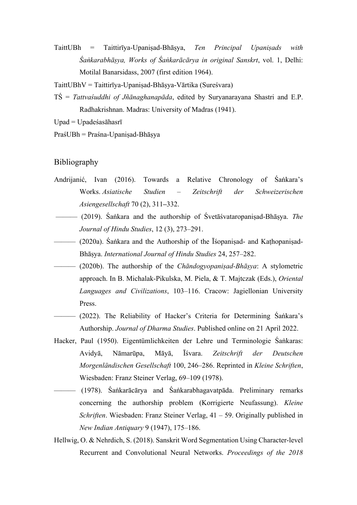TaittUBh = Taittirīya-Upaniṣad-Bhāṣya, *Ten Principal Upaniṣads with Śaṅkarabhāṣya, Works of Śaṅkarācārya in original Sanskrt*, vol. 1, Delhi: Motilal Banarsidass, 2007 (first edition 1964).

TaittUBhV = Taittirīya-Upaniṣad-Bhāṣya-Vārtika (Sureśvara)

TŚ = *Tattvaśuddhi of Jñānaghanapāda*, edited by Suryanarayana Shastri and E.P. Radhakrishnan. Madras: University of Madras (1941).

 $Upad = Upade'sasāhasrī$ 

PraśUBh = Praśna-Upaniṣad-Bhāṣya

# Bibliography

- Andrijanić, Ivan (2016). Towards a Relative Chronology of Śaṅkara's Works. *Asiatische Studien – Zeitschrift der Schweizerischen Asiengesellschaft* 70 (2), 311**–**332.
- ——— (2019). Śaṅkara and the authorship of Śvetāśvataropaniṣad-Bhāṣya. *The Journal of Hindu Studies*, 12 (3), 273–291.
- ——— (2020a). Śaṅkara and the Authorship of the Īśopaniṣad- and Kaṭhopaniṣad-Bhāṣya. *International Journal of Hindu Studies* 24, 257–282.
- ——— (2020b). The authorship of the *Chāndogyopaniṣad-Bhāṣya*: A stylometric approach. In B. Michalak-Pikulska, M. Piela, & T. Majtczak (Eds.), *Oriental Languages and Civilizations*, 103–116. Cracow: Jagiellonian University Press.
- (2022). The Reliability of Hacker's Criteria for Determining Śaṅkara's Authorship. *Journal of Dharma Studies*. Published online on 21 April 2022.
- Hacker, Paul (1950). Eigentümlichkeiten der Lehre und Terminologie Śaṅkaras: Avidyā, Nāmarūpa, Māyā, Īśvara. *Zeitschrift der Deutschen Morgenländischen Gesellschaft* 100, 246–286. Reprinted in *Kleine Schriften*, Wiesbaden: Franz Steiner Verlag, 69–109 (1978).
- $(1978)$ . Śaṅkarācārya and Śaṅkarabhagavatpāda. Preliminary remarks concerning the authorship problem (Korrigierte Neufassung). *Kleine Schriften*. Wiesbaden: Franz Steiner Verlag, 41 – 59. Originally published in *New Indian Antiquary* 9 (1947), 175–186.
- Hellwig, O. & Nehrdich, S. (2018). Sanskrit Word Segmentation Using Character-level Recurrent and Convolutional Neural Networks. *Proceedings of the 2018*